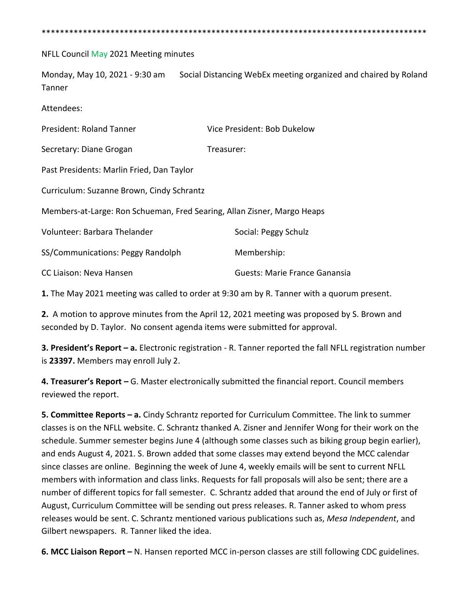\*\*\*\*\*\*\*\*\*\*\*\*\*\*\*\*\*\*\*\*\*\*\*\*\*\*\*\*\*\*\*\*\*\*\*\*\*\*\*\*\*\*\*\*\*\*\*\*\*\*\*\*\*\*\*\*\*\*\*\*\*\*\*\*\*\*\*\*\*\*\*\*\*\*\*\*\*\*\*\*\*\*\*\*

## NFLL Council May 2021 Meeting minutes

Monday, May 10, 2021 - 9:30 am Social Distancing WebEx meeting organized and chaired by Roland Tanner

Attendees:

| President: Roland Tanner                                                | Vice President: Bob Dukelow   |
|-------------------------------------------------------------------------|-------------------------------|
| Secretary: Diane Grogan                                                 | Treasurer:                    |
| Past Presidents: Marlin Fried, Dan Taylor                               |                               |
| Curriculum: Suzanne Brown, Cindy Schrantz                               |                               |
| Members-at-Large: Ron Schueman, Fred Searing, Allan Zisner, Margo Heaps |                               |
| Volunteer: Barbara Thelander                                            | Social: Peggy Schulz          |
| SS/Communications: Peggy Randolph                                       | Membership:                   |
| CC Liaison: Neva Hansen                                                 | Guests: Marie France Ganansia |

**1.** The May 2021 meeting was called to order at 9:30 am by R. Tanner with a quorum present.

**2.** A motion to approve minutes from the April 12, 2021 meeting was proposed by S. Brown and seconded by D. Taylor. No consent agenda items were submitted for approval.

**3. President's Report – a.** Electronic registration - R. Tanner reported the fall NFLL registration number is **23397.** Members may enroll July 2.

**4. Treasurer's Report –** G. Master electronically submitted the financial report. Council members reviewed the report.

**5. Committee Reports – a.** Cindy Schrantz reported for Curriculum Committee. The link to summer classes is on the NFLL website. C. Schrantz thanked A. Zisner and Jennifer Wong for their work on the schedule. Summer semester begins June 4 (although some classes such as biking group begin earlier), and ends August 4, 2021. S. Brown added that some classes may extend beyond the MCC calendar since classes are online. Beginning the week of June 4, weekly emails will be sent to current NFLL members with information and class links. Requests for fall proposals will also be sent; there are a number of different topics for fall semester. C. Schrantz added that around the end of July or first of August, Curriculum Committee will be sending out press releases. R. Tanner asked to whom press releases would be sent. C. Schrantz mentioned various publications such as, *Mesa Independent*, and Gilbert newspapers. R. Tanner liked the idea.

**6. MCC Liaison Report –** N. Hansen reported MCC in-person classes are still following CDC guidelines.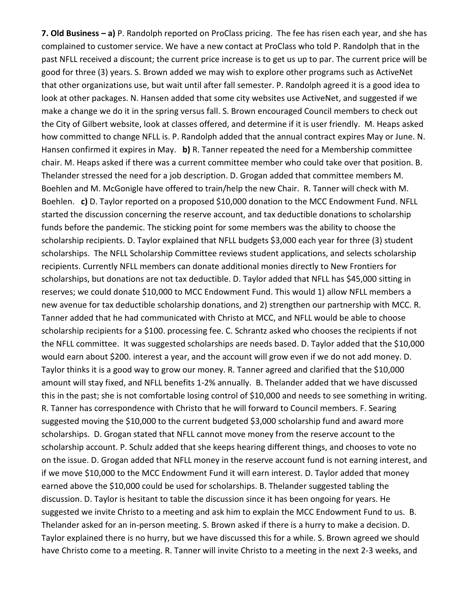**7. Old Business – a)** P. Randolph reported on ProClass pricing. The fee has risen each year, and she has complained to customer service. We have a new contact at ProClass who told P. Randolph that in the past NFLL received a discount; the current price increase is to get us up to par. The current price will be good for three (3) years. S. Brown added we may wish to explore other programs such as ActiveNet that other organizations use, but wait until after fall semester. P. Randolph agreed it is a good idea to look at other packages. N. Hansen added that some city websites use ActiveNet, and suggested if we make a change we do it in the spring versus fall. S. Brown encouraged Council members to check out the City of Gilbert website, look at classes offered, and determine if it is user friendly. M. Heaps asked how committed to change NFLL is. P. Randolph added that the annual contract expires May or June. N. Hansen confirmed it expires in May. **b)** R. Tanner repeated the need for a Membership committee chair. M. Heaps asked if there was a current committee member who could take over that position. B. Thelander stressed the need for a job description. D. Grogan added that committee members M. Boehlen and M. McGonigle have offered to train/help the new Chair. R. Tanner will check with M. Boehlen. **c)** D. Taylor reported on a proposed \$10,000 donation to the MCC Endowment Fund. NFLL started the discussion concerning the reserve account, and tax deductible donations to scholarship funds before the pandemic. The sticking point for some members was the ability to choose the scholarship recipients. D. Taylor explained that NFLL budgets \$3,000 each year for three (3) student scholarships. The NFLL Scholarship Committee reviews student applications, and selects scholarship recipients. Currently NFLL members can donate additional monies directly to New Frontiers for scholarships, but donations are not tax deductible. D. Taylor added that NFLL has \$45,000 sitting in reserves; we could donate \$10,000 to MCC Endowment Fund. This would 1) allow NFLL members a new avenue for tax deductible scholarship donations, and 2) strengthen our partnership with MCC. R. Tanner added that he had communicated with Christo at MCC, and NFLL would be able to choose scholarship recipients for a \$100. processing fee. C. Schrantz asked who chooses the recipients if not the NFLL committee. It was suggested scholarships are needs based. D. Taylor added that the \$10,000 would earn about \$200. interest a year, and the account will grow even if we do not add money. D. Taylor thinks it is a good way to grow our money. R. Tanner agreed and clarified that the \$10,000 amount will stay fixed, and NFLL benefits 1-2% annually. B. Thelander added that we have discussed this in the past; she is not comfortable losing control of \$10,000 and needs to see something in writing. R. Tanner has correspondence with Christo that he will forward to Council members. F. Searing suggested moving the \$10,000 to the current budgeted \$3,000 scholarship fund and award more scholarships. D. Grogan stated that NFLL cannot move money from the reserve account to the scholarship account. P. Schulz added that she keeps hearing different things, and chooses to vote no on the issue. D. Grogan added that NFLL money in the reserve account fund is not earning interest, and if we move \$10,000 to the MCC Endowment Fund it will earn interest. D. Taylor added that money earned above the \$10,000 could be used for scholarships. B. Thelander suggested tabling the discussion. D. Taylor is hesitant to table the discussion since it has been ongoing for years. He suggested we invite Christo to a meeting and ask him to explain the MCC Endowment Fund to us. B. Thelander asked for an in-person meeting. S. Brown asked if there is a hurry to make a decision. D. Taylor explained there is no hurry, but we have discussed this for a while. S. Brown agreed we should have Christo come to a meeting. R. Tanner will invite Christo to a meeting in the next 2-3 weeks, and